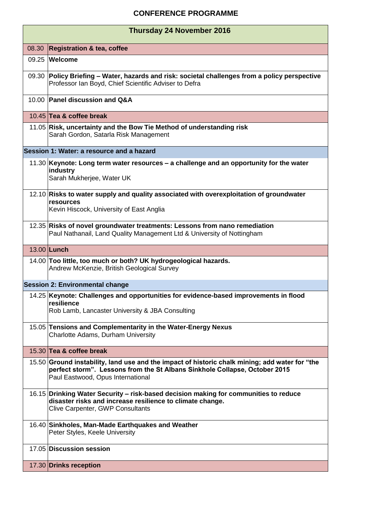## **CONFERENCE PROGRAMME**

| <b>Thursday 24 November 2016</b>       |                                                                                                                                                                                                                   |  |
|----------------------------------------|-------------------------------------------------------------------------------------------------------------------------------------------------------------------------------------------------------------------|--|
|                                        | 08.30 Registration & tea, coffee                                                                                                                                                                                  |  |
|                                        | 09.25 Welcome                                                                                                                                                                                                     |  |
|                                        |                                                                                                                                                                                                                   |  |
|                                        | 09.30 Policy Briefing - Water, hazards and risk: societal challenges from a policy perspective<br>Professor Ian Boyd, Chief Scientific Adviser to Defra                                                           |  |
|                                        | 10.00 Panel discussion and Q&A                                                                                                                                                                                    |  |
|                                        | 10.45 Tea & coffee break                                                                                                                                                                                          |  |
|                                        | 11.05 Risk, uncertainty and the Bow Tie Method of understanding risk<br>Sarah Gordon, Satarla Risk Management                                                                                                     |  |
|                                        | Session 1: Water: a resource and a hazard                                                                                                                                                                         |  |
|                                        | 11.30 Keynote: Long term water resources – a challenge and an opportunity for the water<br>industry<br>Sarah Mukherjee, Water UK                                                                                  |  |
|                                        | 12.10 Risks to water supply and quality associated with overexploitation of groundwater<br>resources<br>Kevin Hiscock, University of East Anglia                                                                  |  |
|                                        | 12.35 Risks of novel groundwater treatments: Lessons from nano remediation<br>Paul Nathanail, Land Quality Management Ltd & University of Nottingham                                                              |  |
|                                        | 13.00 Lunch                                                                                                                                                                                                       |  |
|                                        | 14.00 Too little, too much or both? UK hydrogeological hazards.<br>Andrew McKenzie, British Geological Survey                                                                                                     |  |
| <b>Session 2: Environmental change</b> |                                                                                                                                                                                                                   |  |
|                                        | 14.25 Keynote: Challenges and opportunities for evidence-based improvements in flood<br>resilience<br>Rob Lamb, Lancaster University & JBA Consulting                                                             |  |
|                                        | 15.05 Tensions and Complementarity in the Water-Energy Nexus<br>Charlotte Adams, Durham University                                                                                                                |  |
|                                        | 15.30 Tea & coffee break                                                                                                                                                                                          |  |
|                                        | 15.50 Ground instability, land use and the impact of historic chalk mining; add water for "the<br>perfect storm". Lessons from the St Albans Sinkhole Collapse, October 2015<br>Paul Eastwood, Opus International |  |
|                                        | 16.15 Drinking Water Security – risk-based decision making for communities to reduce<br>disaster risks and increase resilience to climate change.<br><b>Clive Carpenter, GWP Consultants</b>                      |  |
|                                        | 16.40 Sinkholes, Man-Made Earthquakes and Weather<br>Peter Styles, Keele University                                                                                                                               |  |
|                                        | 17.05 Discussion session                                                                                                                                                                                          |  |
|                                        | 17.30 Drinks reception                                                                                                                                                                                            |  |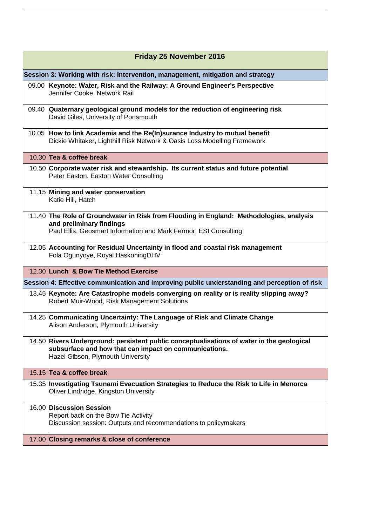| <b>Friday 25 November 2016</b>                                                               |                                                                                                                                                                                         |  |
|----------------------------------------------------------------------------------------------|-----------------------------------------------------------------------------------------------------------------------------------------------------------------------------------------|--|
| Session 3: Working with risk: Intervention, management, mitigation and strategy              |                                                                                                                                                                                         |  |
| 09.00                                                                                        | Keynote: Water, Risk and the Railway: A Ground Engineer's Perspective<br>Jennifer Cooke, Network Rail                                                                                   |  |
|                                                                                              | 09.40 Quaternary geological ground models for the reduction of engineering risk<br>David Giles, University of Portsmouth                                                                |  |
|                                                                                              | 10.05 How to link Academia and the Re(In)surance Industry to mutual benefit<br>Dickie Whitaker, Lighthill Risk Network & Oasis Loss Modelling Framework                                 |  |
|                                                                                              | 10.30 Tea & coffee break                                                                                                                                                                |  |
|                                                                                              | 10.50 Corporate water risk and stewardship. Its current status and future potential<br>Peter Easton, Easton Water Consulting                                                            |  |
|                                                                                              | 11.15 Mining and water conservation<br>Katie Hill, Hatch                                                                                                                                |  |
|                                                                                              | 11.40 The Role of Groundwater in Risk from Flooding in England: Methodologies, analysis<br>and preliminary findings<br>Paul Ellis, Geosmart Information and Mark Fermor, ESI Consulting |  |
|                                                                                              | 12.05 Accounting for Residual Uncertainty in flood and coastal risk management<br>Fola Ogunyoye, Royal HaskoningDHV                                                                     |  |
|                                                                                              | 12.30 Lunch & Bow Tie Method Exercise                                                                                                                                                   |  |
| Session 4: Effective communication and improving public understanding and perception of risk |                                                                                                                                                                                         |  |
|                                                                                              | 13.45 Keynote: Are Catastrophe models converging on reality or is reality slipping away?<br>Robert Muir-Wood, Risk Management Solutions                                                 |  |
|                                                                                              | 14.25 Communicating Uncertainty: The Language of Risk and Climate Change<br>Alison Anderson, Plymouth University                                                                        |  |
|                                                                                              | 14.50 Rivers Underground: persistent public conceptualisations of water in the geological<br>subsurface and how that can impact on communications.<br>Hazel Gibson, Plymouth University |  |
|                                                                                              | 15.15 Tea & coffee break                                                                                                                                                                |  |
|                                                                                              | 15.35 Investigating Tsunami Evacuation Strategies to Reduce the Risk to Life in Menorca<br>Oliver Lindridge, Kingston University                                                        |  |
|                                                                                              | 16.00 Discussion Session<br>Report back on the Bow Tie Activity<br>Discussion session: Outputs and recommendations to policymakers                                                      |  |
|                                                                                              | 17.00 Closing remarks & close of conference                                                                                                                                             |  |